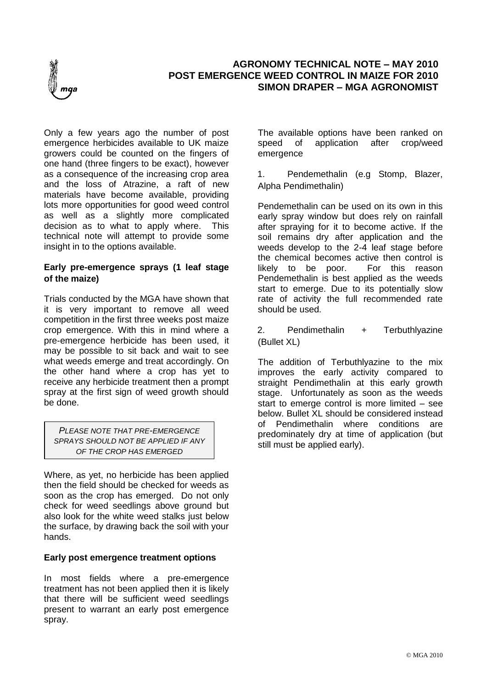

# **AGRONOMY TECHNICAL NOTE – MAY 2010 POST EMERGENCE WEED CONTROL IN MAIZE FOR 2010 SIMON DRAPER – MGA AGRONOMIST**

Only a few years ago the number of post emergence herbicides available to UK maize growers could be counted on the fingers of one hand (three fingers to be exact), however as a consequence of the increasing crop area and the loss of Atrazine, a raft of new materials have become available, providing lots more opportunities for good weed control as well as a slightly more complicated decision as to what to apply where. This technical note will attempt to provide some insight in to the options available.

## **Early pre-emergence sprays (1 leaf stage of the maize)**

Trials conducted by the MGA have shown that it is very important to remove all weed competition in the first three weeks post maize crop emergence. With this in mind where a pre-emergence herbicide has been used, it may be possible to sit back and wait to see what weeds emerge and treat accordingly. On the other hand where a crop has yet to receive any herbicide treatment then a prompt spray at the first sign of weed growth should be done.

*PLEASE NOTE THAT PRE-EMERGENCE SPRAYS SHOULD NOT BE APPLIED IF ANY OF THE CROP HAS EMERGED* 

Where, as yet, no herbicide has been applied then the field should be checked for weeds as soon as the crop has emerged. Do not only check for weed seedlings above ground but also look for the white weed stalks just below the surface, by drawing back the soil with your hands.

### **Early post emergence treatment options**

In most fields where a pre-emergence treatment has not been applied then it is likely that there will be sufficient weed seedlings present to warrant an early post emergence spray.

The available options have been ranked on speed of application after crop/weed emergence

1. Pendemethalin (e.g Stomp, Blazer, Alpha Pendimethalin)

Pendemethalin can be used on its own in this early spray window but does rely on rainfall after spraying for it to become active. If the soil remains dry after application and the weeds develop to the 2-4 leaf stage before the chemical becomes active then control is likely to be poor. For this reason Pendemethalin is best applied as the weeds start to emerge. Due to its potentially slow rate of activity the full recommended rate should be used.

2. Pendimethalin + Terbuthlyazine (Bullet XL)

The addition of Terbuthlyazine to the mix improves the early activity compared to straight Pendimethalin at this early growth stage. Unfortunately as soon as the weeds start to emerge control is more limited – see below. Bullet XL should be considered instead of Pendimethalin where conditions are predominately dry at time of application (but still must be applied early).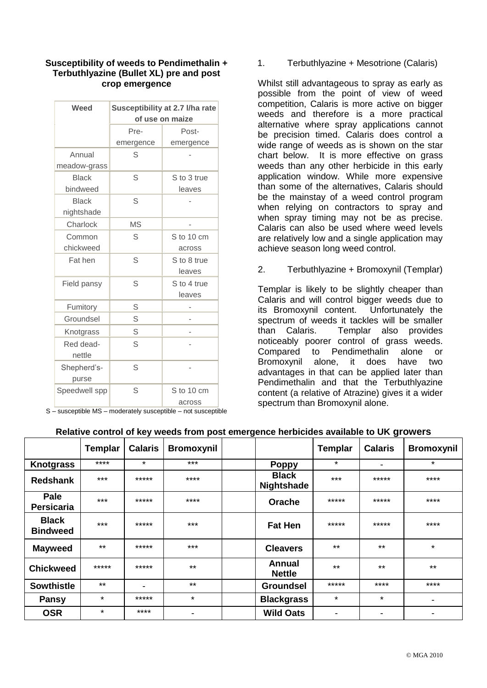### **Susceptibility of weeds to Pendimethalin + Terbuthlyazine (Bullet XL) pre and post crop emergence**

| Weed          | Susceptibility at 2.7 I/ha rate |             |  |  |  |
|---------------|---------------------------------|-------------|--|--|--|
|               | of use on maize                 |             |  |  |  |
|               | Pre-                            | Post-       |  |  |  |
|               | emergence                       | emergence   |  |  |  |
| Annual        | S                               |             |  |  |  |
| meadow-grass  |                                 |             |  |  |  |
| <b>Black</b>  | S                               | S to 3 true |  |  |  |
| bindweed      |                                 | leaves      |  |  |  |
| <b>Black</b>  | S                               |             |  |  |  |
| nightshade    |                                 |             |  |  |  |
| Charlock      | <b>MS</b>                       |             |  |  |  |
| Common        | S                               | S to 10 cm  |  |  |  |
| chickweed     |                                 | across      |  |  |  |
| Fat hen       | S                               | S to 8 true |  |  |  |
|               |                                 | leaves      |  |  |  |
| Field pansy   | S                               | S to 4 true |  |  |  |
|               |                                 | leaves      |  |  |  |
| Fumitory      | S                               |             |  |  |  |
| Groundsel     | S                               |             |  |  |  |
| Knotgrass     | S                               |             |  |  |  |
| Red dead-     | S                               |             |  |  |  |
| nettle        |                                 |             |  |  |  |
| Shepherd's-   | S                               |             |  |  |  |
| purse         |                                 |             |  |  |  |
| Speedwell spp | S                               | S to 10 cm  |  |  |  |
|               |                                 | across      |  |  |  |

S – susceptible MS – moderately susceptible – not susceptible

1. Terbuthlyazine + Mesotrione (Calaris)

Whilst still advantageous to spray as early as possible from the point of view of weed competition, Calaris is more active on bigger weeds and therefore is a more practical alternative where spray applications cannot be precision timed. Calaris does control a wide range of weeds as is shown on the star chart below. It is more effective on grass weeds than any other herbicide in this early application window. While more expensive than some of the alternatives, Calaris should be the mainstay of a weed control program when relying on contractors to spray and when spray timing may not be as precise. Calaris can also be used where weed levels are relatively low and a single application may achieve season long weed control.

2. Terbuthlyazine + Bromoxynil (Templar)

Templar is likely to be slightly cheaper than Calaris and will control bigger weeds due to its Bromoxynil content. Unfortunately the spectrum of weeds it tackles will be smaller than Calaris. Templar also provides noticeably poorer control of grass weeds. Compared to Pendimethalin alone or Bromoxynil alone, it does have two advantages in that can be applied later than Pendimethalin and that the Terbuthlyazine content (a relative of Atrazine) gives it a wider spectrum than Bromoxynil alone.

|                                 | <b>Templar</b> | <b>Calaris</b> | <b>Bromoxynil</b>        |                                | <b>Templar</b> | . <u>.</u><br><b>Calaris</b> | <b>Bromoxynil</b> |
|---------------------------------|----------------|----------------|--------------------------|--------------------------------|----------------|------------------------------|-------------------|
| <b>Knotgrass</b>                | ****           | $\star$        | $***$                    | <b>Poppy</b>                   | $\star$        | $\overline{\phantom{a}}$     | $\star$           |
| <b>Redshank</b>                 | $***$          | *****          | ****                     | <b>Black</b><br>Nightshade     | $***$          | *****                        | ****              |
| Pale<br><b>Persicaria</b>       | $***$          | *****          | $***$                    | Orache                         | *****          | *****                        | $***$ *           |
| <b>Black</b><br><b>Bindweed</b> | $***$          | *****          | $***$                    | <b>Fat Hen</b>                 | *****          | *****                        | $***$ *           |
| <b>Mayweed</b>                  | $***$          | *****          | $***$                    | <b>Cleavers</b>                | $***$          | $***$                        | $\star$           |
| <b>Chickweed</b>                | *****          | *****          | $***$                    | <b>Annual</b><br><b>Nettle</b> | $***$          | $***$                        | $***$             |
| <b>Sowthistle</b>               | $***$          | -              | $***$                    | <b>Groundsel</b>               | *****          | $****$                       | ****              |
| <b>Pansy</b>                    | $\star$        | *****          | $\star$                  | <b>Blackgrass</b>              | $\star$        | $\star$                      |                   |
| <b>OSR</b>                      | $\star$        | ****           | $\overline{\phantom{0}}$ | <b>Wild Oats</b>               | ۰              | -                            | ۰                 |

### **Relative control of key weeds from post emergence herbicides available to UK growers**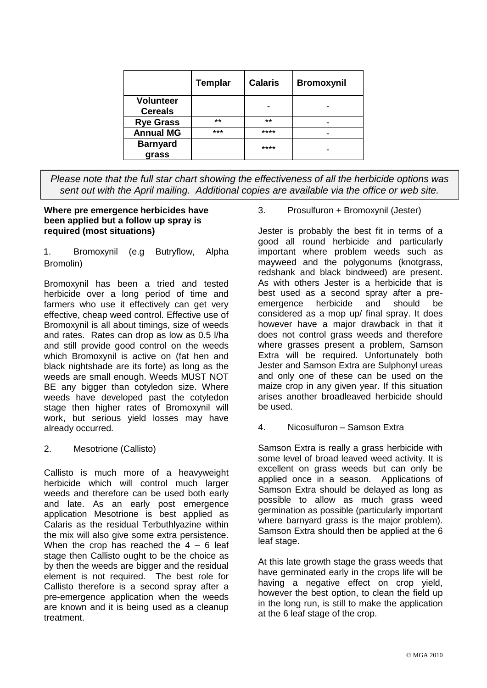|                                    | <b>Templar</b> | <b>Calaris</b> | <b>Bromoxynil</b> |
|------------------------------------|----------------|----------------|-------------------|
| <b>Volunteer</b><br><b>Cereals</b> |                |                |                   |
| <b>Rye Grass</b>                   | $***$          | $**$           |                   |
| <b>Annual MG</b>                   | ***            | ****           |                   |
| <b>Barnyard</b><br>grass           |                | ****           |                   |

*Please note that the full star chart showing the effectiveness of all the herbicide options was sent out with the April mailing. Additional copies are available via the office or web site.* 

### **Where pre emergence herbicides have been applied but a follow up spray is required (most situations)**

1. Bromoxynil (e.g Butryflow, Alpha Bromolin)

Bromoxynil has been a tried and tested herbicide over a long period of time and farmers who use it effectively can get very effective, cheap weed control. Effective use of Bromoxynil is all about timings, size of weeds and rates. Rates can drop as low as 0.5 l/ha and still provide good control on the weeds which Bromoxynil is active on (fat hen and black nightshade are its forte) as long as the weeds are small enough. Weeds MUST NOT BE any bigger than cotyledon size. Where weeds have developed past the cotyledon stage then higher rates of Bromoxynil will work, but serious yield losses may have already occurred.

2. Mesotrione (Callisto)

Callisto is much more of a heavyweight herbicide which will control much larger weeds and therefore can be used both early and late. As an early post emergence application Mesotrione is best applied as Calaris as the residual Terbuthlyazine within the mix will also give some extra persistence. When the crop has reached the  $4 - 6$  leaf stage then Callisto ought to be the choice as by then the weeds are bigger and the residual element is not required. The best role for Callisto therefore is a second spray after a pre-emergence application when the weeds are known and it is being used as a cleanup treatment.

3. Prosulfuron + Bromoxynil (Jester)

Jester is probably the best fit in terms of a good all round herbicide and particularly important where problem weeds such as mayweed and the polygonums (knotgrass, redshank and black bindweed) are present. As with others Jester is a herbicide that is best used as a second spray after a preemergence herbicide and should be considered as a mop up/ final spray. It does however have a major drawback in that it does not control grass weeds and therefore where grasses present a problem, Samson Extra will be required. Unfortunately both Jester and Samson Extra are Sulphonyl ureas and only one of these can be used on the maize crop in any given year. If this situation arises another broadleaved herbicide should be used.

4. Nicosulfuron – Samson Extra

Samson Extra is really a grass herbicide with some level of broad leaved weed activity. It is excellent on grass weeds but can only be applied once in a season. Applications of Samson Extra should be delayed as long as possible to allow as much grass weed germination as possible (particularly important where barnyard grass is the major problem). Samson Extra should then be applied at the 6 leaf stage.

At this late growth stage the grass weeds that have germinated early in the crops life will be having a negative effect on crop yield, however the best option, to clean the field up in the long run, is still to make the application at the 6 leaf stage of the crop.